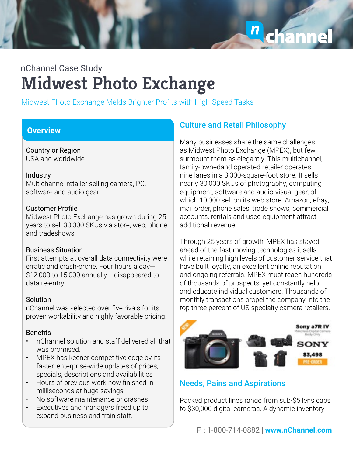

# **Midwest Photo Exchange** nChannel Case Study

Midwest Photo Exchange Melds Brighter Profits with High-Speed Tasks

## **Overview**

Country or Region USA and worldwide

#### Industry

Multichannel retailer selling camera, PC, software and audio gear

### Customer Profile

Midwest Photo Exchange has grown during 25 years to sell 30,000 SKUs via store, web, phone and tradeshows.

### Business Situation

First attempts at overall data connectivity were erratic and crash-prone. Four hours a day— \$12,000 to 15,000 annually— disappeared to data re-entry.

### Solution

nChannel was selected over five rivals for its proven workability and highly favorable pricing.

### **Benefits**

- nChannel solution and staff delivered all that was promised.
- MPEX has keener competitive edge by its faster, enterprise-wide updates of prices, specials, descriptions and availabilities
- Hours of previous work now finished in milliseconds at huge savings.
- No software maintenance or crashes
- Executives and managers freed up to expand business and train staff.

## **Culture and Retail Philosophy**

Many businesses share the same challenges as Midwest Photo Exchange (MPEX), but few surmount them as elegantly. This multichannel, family-ownedand operated retailer operates nine lanes in a 3,000-square-foot store. It sells nearly 30,000 SKUs of photography, computing equipment, software and audio-visual gear, of which 10,000 sell on its web store. Amazon, eBay, mail order, phone sales, trade shows, commercial accounts, rentals and used equipment attract additional revenue.

Through 25 years of growth, MPEX has stayed ahead of the fast-moving technologies it sells while retaining high levels of customer service that have built loyalty, an excellent online reputation and ongoing referrals. MPEX must reach hundreds of thousands of prospects, yet constantly help and educate individual customers. Thousands of monthly transactions propel the company into the top three percent of US specialty camera retailers.



## Needs, Pains and Aspirations

Packed product lines range from sub-\$5 lens caps to \$30,000 digital cameras. A dynamic inventory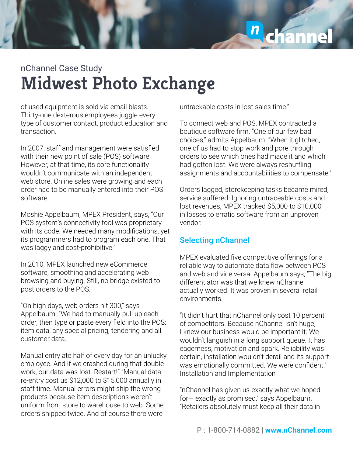

# **Midwest Photo Exchange** nChannel Case Study

of used equipment is sold via email blasts. Thirty-one dexterous employees juggle every type of customer contact, product education and transaction.

In 2007, staff and management were satisfied with their new point of sale (POS) software. However, at that time, its core functionality wouldn't communicate with an independent web store. Online sales were growing and each order had to be manually entered into their POS software.

Moshie Appelbaum, MPEX President, says, "Our POS system's connectivity tool was proprietary with its code. We needed many modifications, yet its programmers had to program each one. That was laggy and cost-prohibitive."

In 2010, MPEX launched new eCommerce software, smoothing and accelerating web browsing and buying. Still, no bridge existed to post orders to the POS.

"On high days, web orders hit 300," says Appelbaum. "We had to manually pull up each order, then type or paste every field into the POS: item data, any special pricing, tendering and all customer data.

Manual entry ate half of every day for an unlucky employee. And if we crashed during that double work, our data was lost. Restart!" "Manual data re-entry cost us \$12,000 to \$15,000 annually in staff time. Manual errors might ship the wrong products because item descriptions weren't uniform from store to warehouse to web. Some orders shipped twice. And of course there were

untrackable costs in lost sales time."

To connect web and POS, MPEX contracted a boutique software firm. "One of our few bad choices," admits Appelbaum. "When it glitched, one of us had to stop work and pore through orders to see which ones had made it and which had gotten lost. We were always reshuffling assignments and accountabilities to compensate."

Orders lagged, storekeeping tasks became mired, service suffered. Ignoring untraceable costs and lost revenues, MPEX tracked \$5,000 to \$10,000 in losses to erratic software from an unproven vendor.

## Selecting nChannel

MPEX evaluated five competitive offerings for a reliable way to automate data flow between POS and web and vice versa. Appelbaum says, "The big differentiator was that we knew nChannel actually worked. It was proven in several retail environments.

"It didn't hurt that nChannel only cost 10 percent of competitors. Because nChannel isn't huge, I knew our business would be important it. We wouldn't languish in a long support queue. It has eagerness, motivation and spark. Reliability was certain, installation wouldn't derail and its support was emotionally committed. We were confident." Installation and Implementation

"nChannel has given us exactly what we hoped for— exactly as promised," says Appelbaum. "Retailers absolutely must keep all their data in